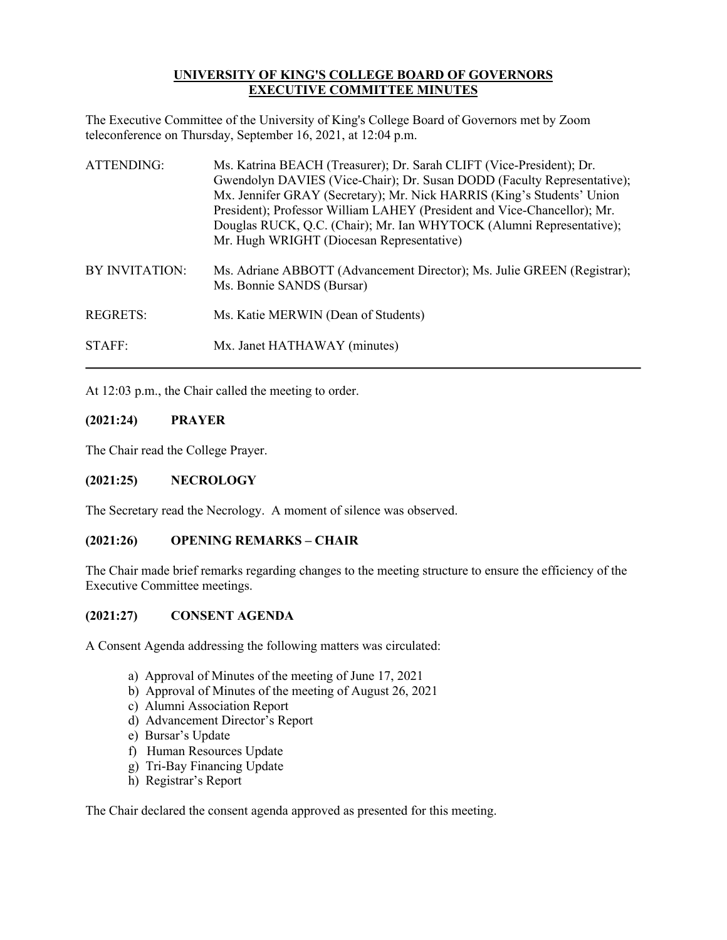# **UNIVERSITY OF KING'S COLLEGE BOARD OF GOVERNORS EXECUTIVE COMMITTEE MINUTES**

The Executive Committee of the University of King's College Board of Governors met by Zoom teleconference on Thursday, September 16, 2021, at 12:04 p.m.

| ATTENDING:     | Ms. Katrina BEACH (Treasurer); Dr. Sarah CLIFT (Vice-President); Dr.<br>Gwendolyn DAVIES (Vice-Chair); Dr. Susan DODD (Faculty Representative);<br>Mx. Jennifer GRAY (Secretary); Mr. Nick HARRIS (King's Students' Union<br>President); Professor William LAHEY (President and Vice-Chancellor); Mr.<br>Douglas RUCK, Q.C. (Chair); Mr. Ian WHYTOCK (Alumni Representative);<br>Mr. Hugh WRIGHT (Diocesan Representative) |
|----------------|----------------------------------------------------------------------------------------------------------------------------------------------------------------------------------------------------------------------------------------------------------------------------------------------------------------------------------------------------------------------------------------------------------------------------|
| BY INVITATION: | Ms. Adriane ABBOTT (Advancement Director); Ms. Julie GREEN (Registrar);<br>Ms. Bonnie SANDS (Bursar)                                                                                                                                                                                                                                                                                                                       |
| REGRETS:       | Ms. Katie MERWIN (Dean of Students)                                                                                                                                                                                                                                                                                                                                                                                        |
| STAFF:         | Mx. Janet HATHAWAY (minutes)                                                                                                                                                                                                                                                                                                                                                                                               |

At 12:03 p.m., the Chair called the meeting to order.

### **(2021:24) PRAYER**

The Chair read the College Prayer.

## **(2021:25) NECROLOGY**

The Secretary read the Necrology. A moment of silence was observed.

## **(2021:26) OPENING REMARKS – CHAIR**

The Chair made brief remarks regarding changes to the meeting structure to ensure the efficiency of the Executive Committee meetings.

## **(2021:27) CONSENT AGENDA**

A Consent Agenda addressing the following matters was circulated:

- a) Approval of Minutes of the meeting of June 17, 2021
- b) Approval of Minutes of the meeting of August 26, 2021
- c) Alumni Association Report
- d) Advancement Director's Report
- e) Bursar's Update
- f) Human Resources Update
- g) Tri-Bay Financing Update
- h) Registrar's Report

The Chair declared the consent agenda approved as presented for this meeting.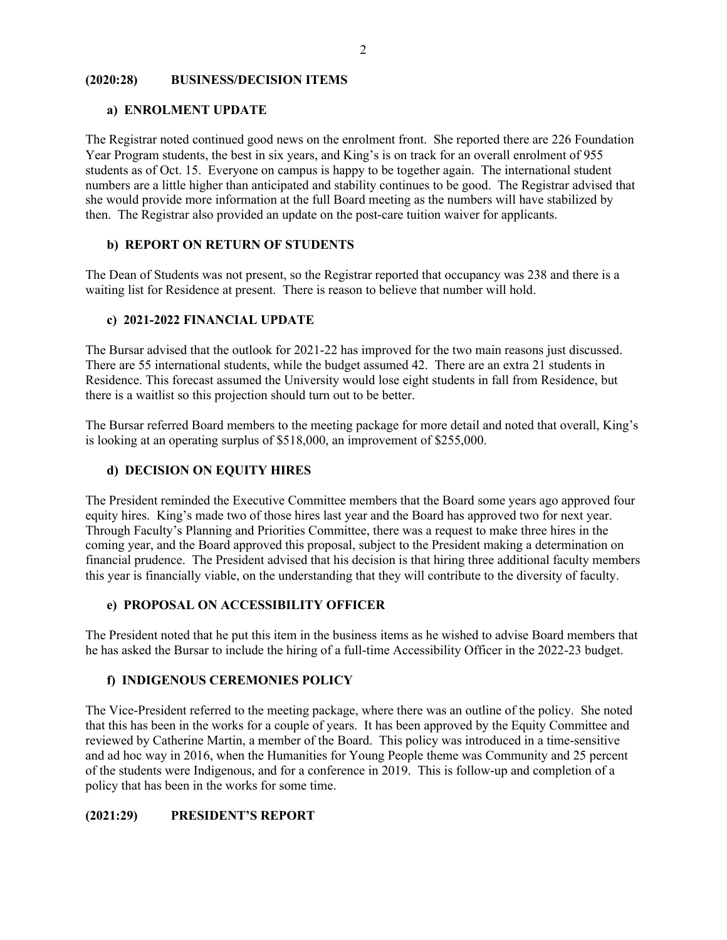#### **(2020:28) BUSINESS/DECISION ITEMS**

#### **a) ENROLMENT UPDATE**

The Registrar noted continued good news on the enrolment front. She reported there are 226 Foundation Year Program students, the best in six years, and King's is on track for an overall enrolment of 955 students as of Oct. 15. Everyone on campus is happy to be together again. The international student numbers are a little higher than anticipated and stability continues to be good. The Registrar advised that she would provide more information at the full Board meeting as the numbers will have stabilized by then. The Registrar also provided an update on the post-care tuition waiver for applicants.

### **b) REPORT ON RETURN OF STUDENTS**

The Dean of Students was not present, so the Registrar reported that occupancy was 238 and there is a waiting list for Residence at present. There is reason to believe that number will hold.

#### **c) 2021-2022 FINANCIAL UPDATE**

The Bursar advised that the outlook for 2021-22 has improved for the two main reasons just discussed. There are 55 international students, while the budget assumed 42. There are an extra 21 students in Residence. This forecast assumed the University would lose eight students in fall from Residence, but there is a waitlist so this projection should turn out to be better.

The Bursar referred Board members to the meeting package for more detail and noted that overall, King's is looking at an operating surplus of \$518,000, an improvement of \$255,000.

## **d) DECISION ON EQUITY HIRES**

The President reminded the Executive Committee members that the Board some years ago approved four equity hires. King's made two of those hires last year and the Board has approved two for next year. Through Faculty's Planning and Priorities Committee, there was a request to make three hires in the coming year, and the Board approved this proposal, subject to the President making a determination on financial prudence. The President advised that his decision is that hiring three additional faculty members this year is financially viable, on the understanding that they will contribute to the diversity of faculty.

#### **e) PROPOSAL ON ACCESSIBILITY OFFICER**

The President noted that he put this item in the business items as he wished to advise Board members that he has asked the Bursar to include the hiring of a full-time Accessibility Officer in the 2022-23 budget.

#### **f) INDIGENOUS CEREMONIES POLICY**

The Vice-President referred to the meeting package, where there was an outline of the policy. She noted that this has been in the works for a couple of years. It has been approved by the Equity Committee and reviewed by Catherine Martin, a member of the Board. This policy was introduced in a time-sensitive and ad hoc way in 2016, when the Humanities for Young People theme was Community and 25 percent of the students were Indigenous, and for a conference in 2019. This is follow-up and completion of a policy that has been in the works for some time.

## **(2021:29) PRESIDENT'S REPORT**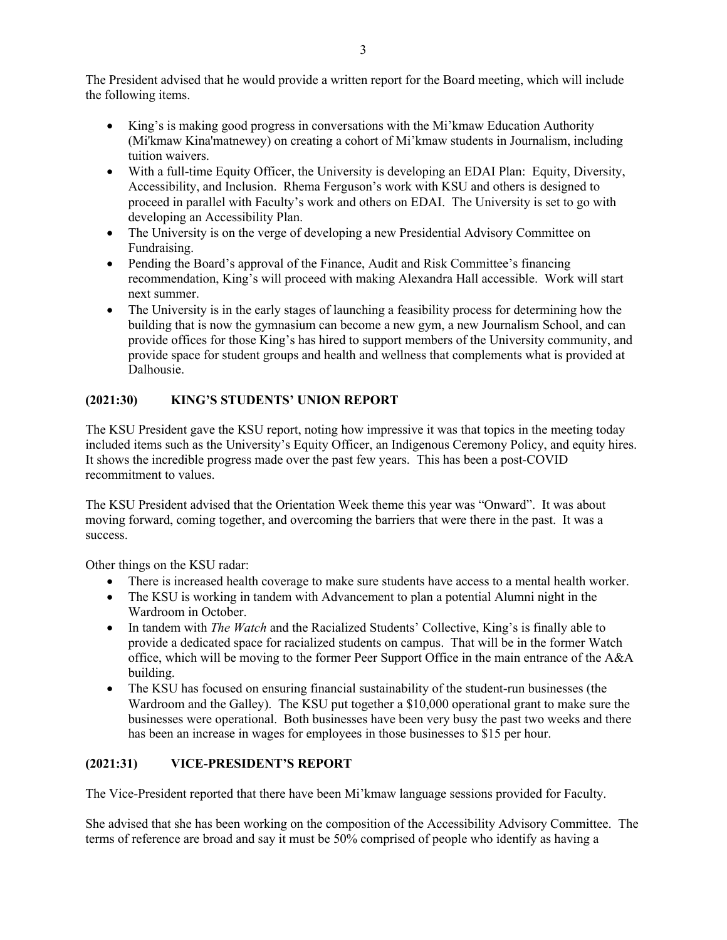The President advised that he would provide a written report for the Board meeting, which will include the following items.

- King's is making good progress in conversations with the Mi'kmaw Education Authority (Mi'kmaw Kina'matnewey) on creating a cohort of Mi'kmaw students in Journalism, including tuition waivers.
- With a full-time Equity Officer, the University is developing an EDAI Plan: Equity, Diversity, Accessibility, and Inclusion. Rhema Ferguson's work with KSU and others is designed to proceed in parallel with Faculty's work and others on EDAI. The University is set to go with developing an Accessibility Plan.
- The University is on the verge of developing a new Presidential Advisory Committee on Fundraising.
- Pending the Board's approval of the Finance, Audit and Risk Committee's financing recommendation, King's will proceed with making Alexandra Hall accessible. Work will start next summer.
- The University is in the early stages of launching a feasibility process for determining how the building that is now the gymnasium can become a new gym, a new Journalism School, and can provide offices for those King's has hired to support members of the University community, and provide space for student groups and health and wellness that complements what is provided at Dalhousie.

# **(2021:30) KING'S STUDENTS' UNION REPORT**

The KSU President gave the KSU report, noting how impressive it was that topics in the meeting today included items such as the University's Equity Officer, an Indigenous Ceremony Policy, and equity hires. It shows the incredible progress made over the past few years. This has been a post-COVID recommitment to values.

The KSU President advised that the Orientation Week theme this year was "Onward". It was about moving forward, coming together, and overcoming the barriers that were there in the past. It was a success.

Other things on the KSU radar:

- There is increased health coverage to make sure students have access to a mental health worker.
- The KSU is working in tandem with Advancement to plan a potential Alumni night in the Wardroom in October.
- In tandem with *The Watch* and the Racialized Students' Collective, King's is finally able to provide a dedicated space for racialized students on campus. That will be in the former Watch office, which will be moving to the former Peer Support Office in the main entrance of the A&A building.
- The KSU has focused on ensuring financial sustainability of the student-run businesses (the Wardroom and the Galley). The KSU put together a \$10,000 operational grant to make sure the businesses were operational. Both businesses have been very busy the past two weeks and there has been an increase in wages for employees in those businesses to \$15 per hour.

# **(2021:31) VICE-PRESIDENT'S REPORT**

The Vice-President reported that there have been Mi'kmaw language sessions provided for Faculty.

She advised that she has been working on the composition of the Accessibility Advisory Committee. The terms of reference are broad and say it must be 50% comprised of people who identify as having a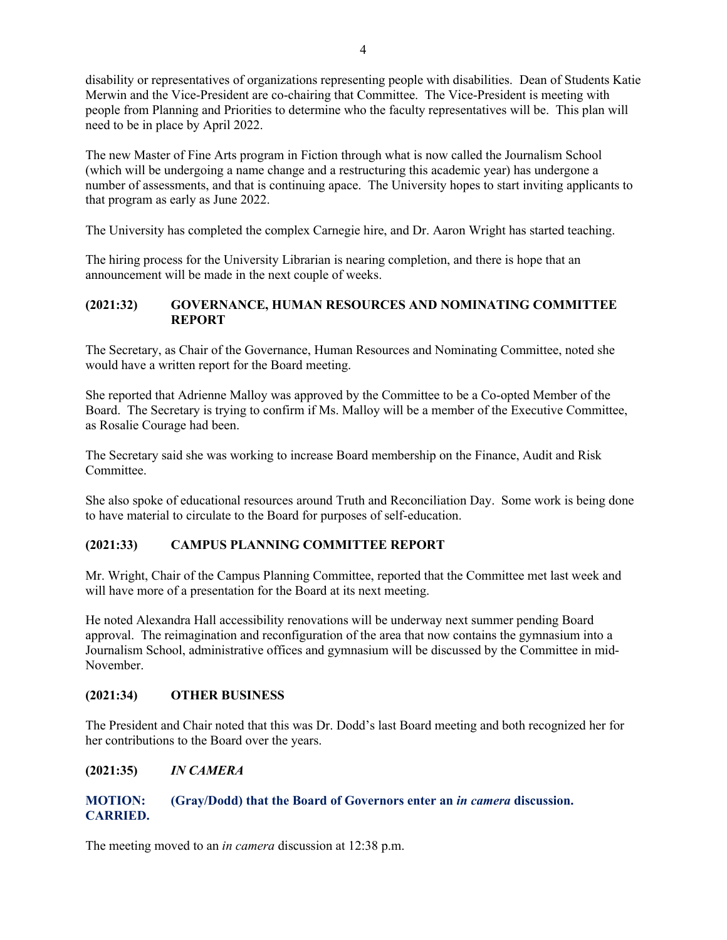disability or representatives of organizations representing people with disabilities. Dean of Students Katie Merwin and the Vice-President are co-chairing that Committee. The Vice-President is meeting with people from Planning and Priorities to determine who the faculty representatives will be. This plan will need to be in place by April 2022.

The new Master of Fine Arts program in Fiction through what is now called the Journalism School (which will be undergoing a name change and a restructuring this academic year) has undergone a number of assessments, and that is continuing apace. The University hopes to start inviting applicants to that program as early as June 2022.

The University has completed the complex Carnegie hire, and Dr. Aaron Wright has started teaching.

The hiring process for the University Librarian is nearing completion, and there is hope that an announcement will be made in the next couple of weeks.

## **(2021:32) GOVERNANCE, HUMAN RESOURCES AND NOMINATING COMMITTEE REPORT**

The Secretary, as Chair of the Governance, Human Resources and Nominating Committee, noted she would have a written report for the Board meeting.

She reported that Adrienne Malloy was approved by the Committee to be a Co-opted Member of the Board. The Secretary is trying to confirm if Ms. Malloy will be a member of the Executive Committee, as Rosalie Courage had been.

The Secretary said she was working to increase Board membership on the Finance, Audit and Risk Committee.

She also spoke of educational resources around Truth and Reconciliation Day. Some work is being done to have material to circulate to the Board for purposes of self-education.

# **(2021:33) CAMPUS PLANNING COMMITTEE REPORT**

Mr. Wright, Chair of the Campus Planning Committee, reported that the Committee met last week and will have more of a presentation for the Board at its next meeting.

He noted Alexandra Hall accessibility renovations will be underway next summer pending Board approval. The reimagination and reconfiguration of the area that now contains the gymnasium into a Journalism School, administrative offices and gymnasium will be discussed by the Committee in mid-November.

## **(2021:34) OTHER BUSINESS**

The President and Chair noted that this was Dr. Dodd's last Board meeting and both recognized her for her contributions to the Board over the years.

## **(2021:35)** *IN CAMERA*

# **MOTION: (Gray/Dodd) that the Board of Governors enter an** *in camera* **discussion. CARRIED.**

The meeting moved to an *in camera* discussion at 12:38 p.m.